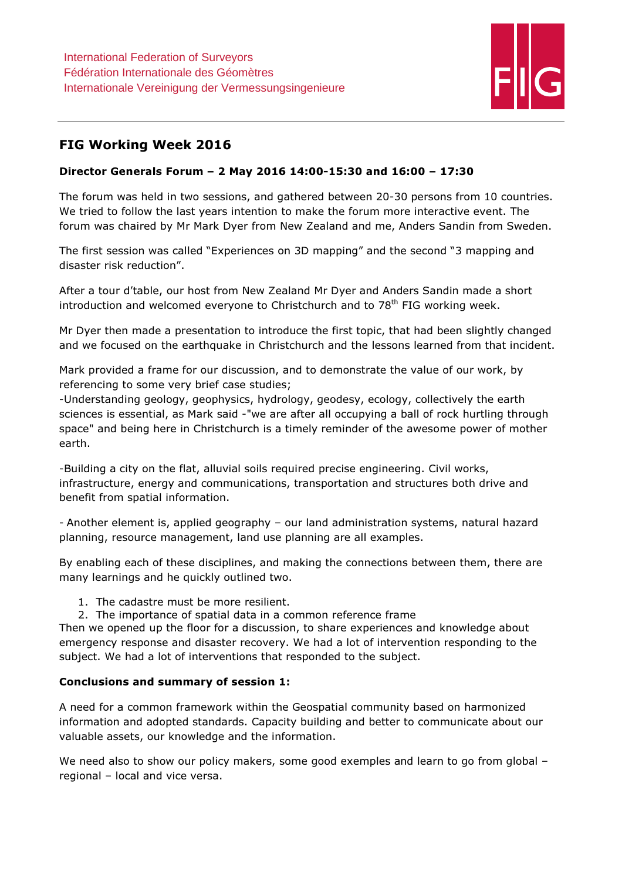

# FIG Working Week 2016

## Director Generals Forum – 2 May 2016 14:00-15:30 and 16:00 – 17:30

The forum was held in two sessions, and gathered between 20-30 persons from 10 countries. We tried to follow the last years intention to make the forum more interactive event. The forum was chaired by Mr Mark Dyer from New Zealand and me, Anders Sandin from Sweden.

The first session was called "Experiences on 3D mapping" and the second "3 mapping and disaster risk reduction".

After a tour d'table, our host from New Zealand Mr Dyer and Anders Sandin made a short introduction and welcomed everyone to Christchurch and to 78<sup>th</sup> FIG working week.

Mr Dyer then made a presentation to introduce the first topic, that had been slightly changed and we focused on the earthquake in Christchurch and the lessons learned from that incident.

Mark provided a frame for our discussion, and to demonstrate the value of our work, by referencing to some very brief case studies;

-Understanding geology, geophysics, hydrology, geodesy, ecology, collectively the earth sciences is essential, as Mark said -"we are after all occupying a ball of rock hurtling through space" and being here in Christchurch is a timely reminder of the awesome power of mother earth.

-Building a city on the flat, alluvial soils required precise engineering. Civil works, infrastructure, energy and communications, transportation and structures both drive and benefit from spatial information.

- Another element is, applied geography – our land administration systems, natural hazard planning, resource management, land use planning are all examples.

By enabling each of these disciplines, and making the connections between them, there are many learnings and he quickly outlined two.

- 1. The cadastre must be more resilient.
- 2. The importance of spatial data in a common reference frame

Then we opened up the floor for a discussion, to share experiences and knowledge about emergency response and disaster recovery. We had a lot of intervention responding to the subject. We had a lot of interventions that responded to the subject.

## Conclusions and summary of session 1:

A need for a common framework within the Geospatial community based on harmonized information and adopted standards. Capacity building and better to communicate about our valuable assets, our knowledge and the information.

We need also to show our policy makers, some good exemples and learn to go from global regional – local and vice versa.